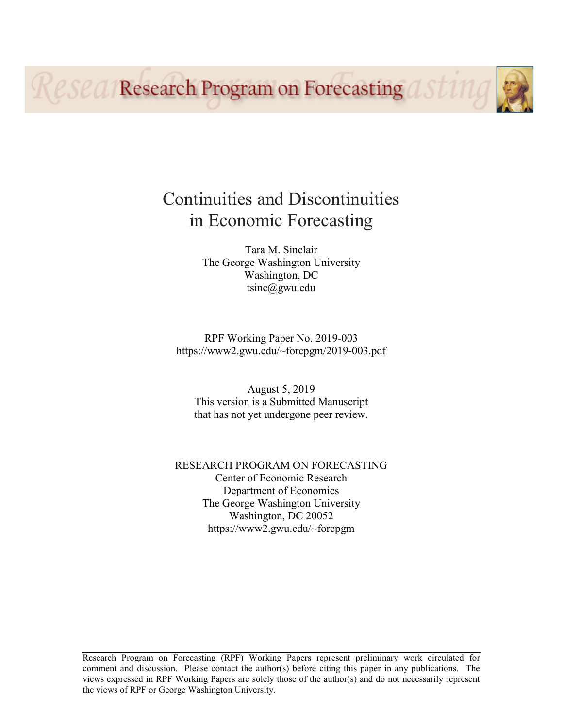**Research Program on Forecasting ast11** 

# Continuities and Discontinuities in Economic Forecasting

Tara M. Sinclair The George Washington University Washington, DC tsinc@gwu.edu

RPF Working Paper No. 2019-003 https://www2.gwu.edu/~forcpgm/2019-003.pdf

August 5, 2019 This version is a Submitted Manuscript that has not yet undergone peer review.

RESEARCH PROGRAM ON FORECASTING Center of Economic Research Department of Economics The George Washington University Washington, DC 20052 https://www2.gwu.edu/~forcpgm

Research Program on Forecasting (RPF) Working Papers represent preliminary work circulated for comment and discussion. Please contact the author(s) before citing this paper in any publications. The views expressed in RPF Working Papers are solely those of the author(s) and do not necessarily represent the views of RPF or George Washington University.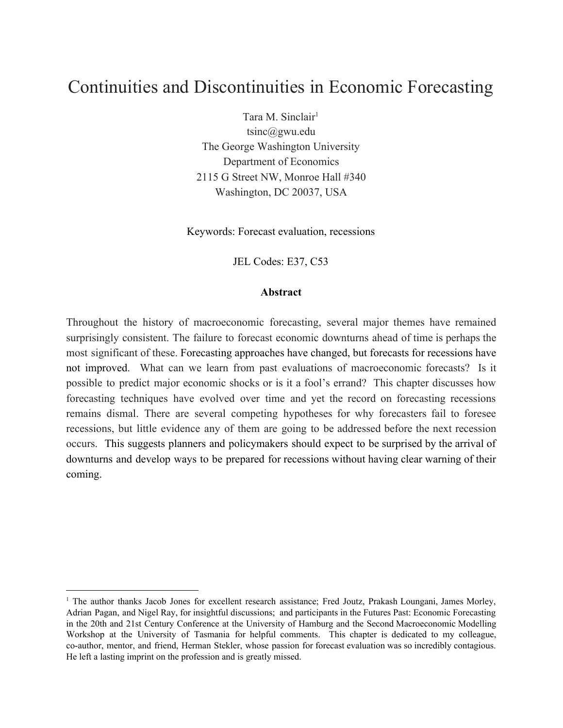# Continuities and Discontinuities in Economic Forecasting

Tara M. Sinclair<sup>1</sup> tsinc@gwu.edu The George Washington University Department of Economics 2115 G Street NW, Monroe Hall #340 Washington, DC 20037, USA

Keywords: Forecast evaluation, recessions

JEL Codes: E37, C53

#### **Abstract**

Throughout the history of macroeconomic forecasting, several major themes have remained surprisingly consistent. The failure to forecast economic downturns ahead of time is perhaps the most significant of these. Forecasting approaches have changed, but forecasts for recessions have not improved. What can we learn from past evaluations of macroeconomic forecasts? Is it possible to predict major economic shocks or is it a fool's errand? This chapter discusses how forecasting techniques have evolved over time and yet the record on forecasting recessions remains dismal. There are several competing hypotheses for why forecasters fail to foresee recessions, but little evidence any of them are going to be addressed before the next recession occurs. This suggests planners and policymakers should expect to be surprised by the arrival of downturns and develop ways to be prepared for recessions without having clear warning of their coming.

<sup>&</sup>lt;sup>1</sup> The author thanks Jacob Jones for excellent research assistance; Fred Joutz, Prakash Loungani, James Morley, Adrian Pagan, and Nigel Ray, for insightful discussions; and participants in the Futures Past: Economic Forecasting in the 20th and 21st Century Conference at the University of Hamburg and the Second Macroeconomic Modelling Workshop at the University of Tasmania for helpful comments. This chapter is dedicated to my colleague, co-author, mentor, and friend, Herman Stekler, whose passion for forecast evaluation was so incredibly contagious. He left a lasting imprint on the profession and is greatly missed.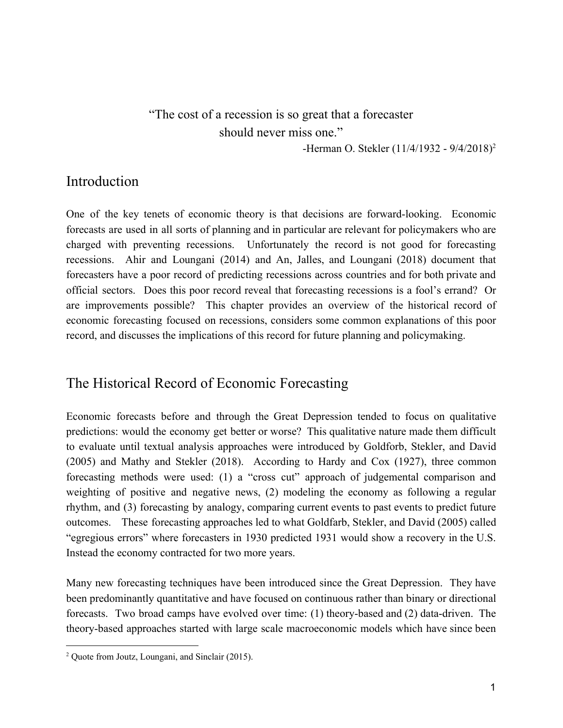# "The cost of a recession is so great that a forecaster should never miss one."

-Herman O. Stekler (11/4/1932 - 9/4/2018)<sup>2</sup>

### Introduction

One of the key tenets of economic theory is that decisions are forward-looking. Economic forecasts are used in all sorts of planning and in particular are relevant for policymakers who are charged with preventing recessions. Unfortunately the record is not good for forecasting recessions. Ahir and Loungani (2014) and An, Jalles, and Loungani (2018) document that forecasters have a poor record of predicting recessions across countries and for both private and official sectors. Does this poor record reveal that forecasting recessions is a fool's errand? Or are improvements possible? This chapter provides an overview of the historical record of economic forecasting focused on recessions, considers some common explanations of this poor record, and discusses the implications of this record for future planning and policymaking.

# The Historical Record of Economic Forecasting

Economic forecasts before and through the Great Depression tended to focus on qualitative predictions: would the economy get better or worse? This qualitative nature made them difficult to evaluate until textual analysis approaches were introduced by Goldforb, Stekler, and David (2005) and Mathy and Stekler (2018). According to Hardy and Cox (1927), three common forecasting methods were used: (1) a "cross cut" approach of judgemental comparison and weighting of positive and negative news, (2) modeling the economy as following a regular rhythm, and (3) forecasting by analogy, comparing current events to past events to predict future outcomes. These forecasting approaches led to what Goldfarb, Stekler, and David (2005) called "egregious errors" where forecasters in 1930 predicted 1931 would show a recovery in the U.S. Instead the economy contracted for two more years.

Many new forecasting techniques have been introduced since the Great Depression. They have been predominantly quantitative and have focused on continuous rather than binary or directional forecasts. Two broad camps have evolved over time: (1) theory-based and (2) data-driven. The theory-based approaches started with large scale macroeconomic models which have since been

<sup>2</sup> Quote from Joutz, Loungani, and Sinclair (2015).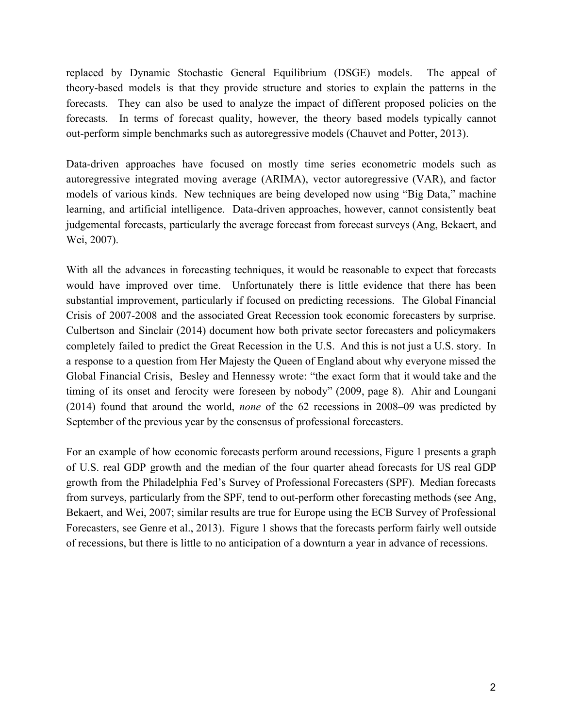replaced by Dynamic Stochastic General Equilibrium (DSGE) models. The appeal of theory-based models is that they provide structure and stories to explain the patterns in the forecasts. They can also be used to analyze the impact of different proposed policies on the forecasts. In terms of forecast quality, however, the theory based models typically cannot out-perform simple benchmarks such as autoregressive models (Chauvet and Potter, 2013).

Data-driven approaches have focused on mostly time series econometric models such as autoregressive integrated moving average (ARIMA), vector autoregressive (VAR), and factor models of various kinds. New techniques are being developed now using "Big Data," machine learning, and artificial intelligence. Data-driven approaches, however, cannot consistently beat judgemental forecasts, particularly the average forecast from forecast surveys (Ang, Bekaert, and Wei, 2007).

With all the advances in forecasting techniques, it would be reasonable to expect that forecasts would have improved over time. Unfortunately there is little evidence that there has been substantial improvement, particularly if focused on predicting recessions. The Global Financial Crisis of 2007-2008 and the associated Great Recession took economic forecasters by surprise. Culbertson and Sinclair (2014) document how both private sector forecasters and policymakers completely failed to predict the Great Recession in the U.S. And this is not just a U.S. story. In a response to a question from Her Majesty the Queen of England about why everyone missed the Global Financial Crisis, Besley and Hennessy wrote: "the exact form that it would take and the timing of its onset and ferocity were foreseen by nobody" (2009, page 8). Ahir and Loungani (2014) found that around the world, *none* of the 62 recessions in 2008–09 was predicted by September of the previous year by the consensus of professional forecasters.

For an example of how economic forecasts perform around recessions, Figure 1 presents a graph of U.S. real GDP growth and the median of the four quarter ahead forecasts for US real GDP growth from the Philadelphia Fed's Survey of Professional Forecasters (SPF). Median forecasts from surveys, particularly from the SPF, tend to out-perform other forecasting methods (see Ang, Bekaert, and Wei, 2007; similar results are true for Europe using the ECB Survey of Professional Forecasters, see Genre et al., 2013). Figure 1 shows that the forecasts perform fairly well outside of recessions, but there is little to no anticipation of a downturn a year in advance of recessions.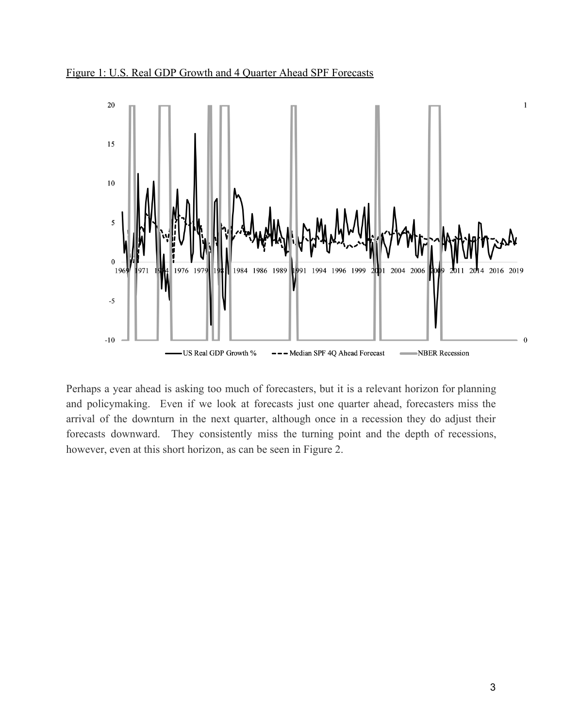Figure 1: U.S. Real GDP Growth and 4 Quarter Ahead SPF Forecasts



Perhaps a year ahead is asking too much of forecasters, but it is a relevant horizon for planning and policymaking. Even if we look at forecasts just one quarter ahead, forecasters miss the arrival of the downturn in the next quarter, although once in a recession they do adjust their forecasts downward. They consistently miss the turning point and the depth of recessions, however, even at this short horizon, as can be seen in Figure 2.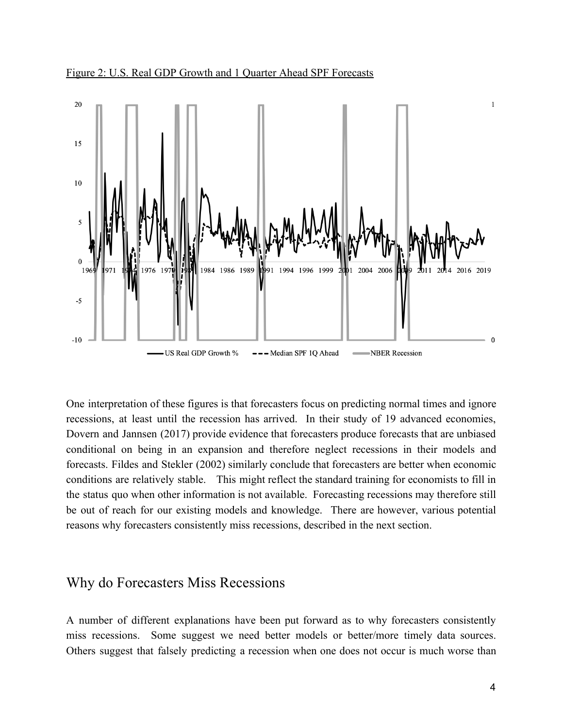



One interpretation of these figures is that forecasters focus on predicting normal times and ignore recessions, at least until the recession has arrived. In their study of 19 advanced economies, Dovern and Jannsen (2017) provide evidence that forecasters produce forecasts that are unbiased conditional on being in an expansion and therefore neglect recessions in their models and forecasts. Fildes and Stekler (2002) similarly conclude that forecasters are better when economic conditions are relatively stable. This might reflect the standard training for economists to fill in the status quo when other information is not available. Forecasting recessions may therefore still be out of reach for our existing models and knowledge. There are however, various potential reasons why forecasters consistently miss recessions, described in the next section.

### Why do Forecasters Miss Recessions

A number of different explanations have been put forward as to why forecasters consistently miss recessions. Some suggest we need better models or better/more timely data sources. Others suggest that falsely predicting a recession when one does not occur is much worse than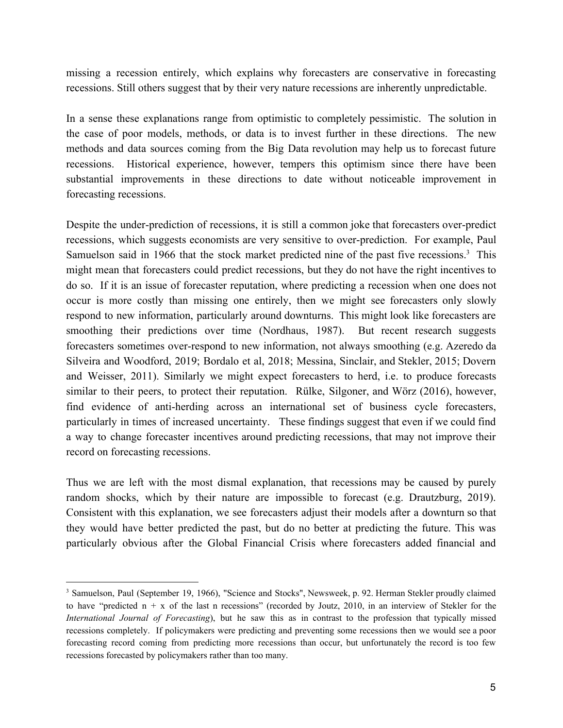missing a recession entirely, which explains why forecasters are conservative in forecasting recessions. Still others suggest that by their very nature recessions are inherently unpredictable.

In a sense these explanations range from optimistic to completely pessimistic. The solution in the case of poor models, methods, or data is to invest further in these directions. The new methods and data sources coming from the Big Data revolution may help us to forecast future recessions. Historical experience, however, tempers this optimism since there have been substantial improvements in these directions to date without noticeable improvement in forecasting recessions.

Despite the under-prediction of recessions, it is still a common joke that forecasters over-predict recessions, which suggests economists are very sensitive to over-prediction. For example, Paul Samuelson said in 1966 that the stock market predicted nine of the past five recessions.<sup>3</sup> This might mean that forecasters could predict recessions, but they do not have the right incentives to do so. If it is an issue of forecaster reputation, where predicting a recession when one does not occur is more costly than missing one entirely, then we might see forecasters only slowly respond to new information, particularly around downturns. This might look like forecasters are smoothing their predictions over time (Nordhaus, 1987). But recent research suggests forecasters sometimes over-respond to new information, not always smoothing (e.g. Azeredo da Silveira and Woodford, 2019; Bordalo et al, 2018; Messina, Sinclair, and Stekler, 2015; Dovern and Weisser, 2011). Similarly we might expect forecasters to herd, i.e. to produce forecasts similar to their peers, to protect their reputation. Rülke, Silgoner, and Wörz (2016), however, find evidence of anti-herding across an international set of business cycle forecasters, particularly in times of increased uncertainty. These findings suggest that even if we could find a way to change forecaster incentives around predicting recessions, that may not improve their record on forecasting recessions.

Thus we are left with the most dismal explanation, that recessions may be caused by purely random shocks, which by their nature are impossible to forecast (e.g. Drautzburg, 2019). Consistent with this explanation, we see forecasters adjust their models after a downturn so that they would have better predicted the past, but do no better at predicting the future. This was particularly obvious after the Global Financial Crisis where forecasters added financial and

<sup>&</sup>lt;sup>3</sup> Samuelson, Paul (September 19, 1966), "Science and Stocks", Newsweek, p. 92. Herman Stekler proudly claimed to have "predicted  $n + x$  of the last n recessions" (recorded by Joutz, 2010, in an interview of Stekler for the *International Journal of Forecasting*), but he saw this as in contrast to the profession that typically missed recessions completely. If policymakers were predicting and preventing some recessions then we would see a poor forecasting record coming from predicting more recessions than occur, but unfortunately the record is too few recessions forecasted by policymakers rather than too many.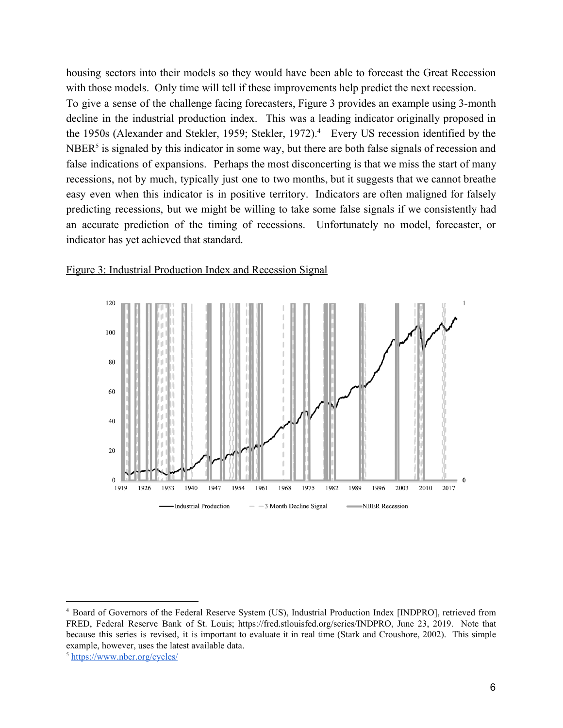housing sectors into their models so they would have been able to forecast the Great Recession with those models. Only time will tell if these improvements help predict the next recession. To give a sense of the challenge facing forecasters, Figure 3 provides an example using 3-month decline in the industrial production index. This was a leading indicator originally proposed in the 1950s (Alexander and Stekler, 1959; Stekler, 1972).<sup>4</sup> Every US recession identified by the  $NBER<sup>5</sup>$  is signaled by this indicator in some way, but there are both false signals of recession and false indications of expansions. Perhaps the most disconcerting is that we miss the start of many recessions, not by much, typically just one to two months, but it suggests that we cannot breathe easy even when this indicator is in positive territory. Indicators are often maligned for falsely predicting recessions, but we might be willing to take some false signals if we consistently had an accurate prediction of the timing of recessions. Unfortunately no model, forecaster, or indicator has yet achieved that standard.



#### Figure 3: Industrial Production Index and Recession Signal

<sup>4</sup> Board of Governors of the Federal Reserve System (US), Industrial Production Index [INDPRO], retrieved from FRED, Federal Reserve Bank of St. Louis; https://fred.stlouisfed.org/series/INDPRO, June 23, 2019. Note that because this series is revised, it is important to evaluate it in real time (Stark and Croushore, 2002). This simple example, however, uses the latest available data.

<sup>5</sup> <https://www.nber.org/cycles/>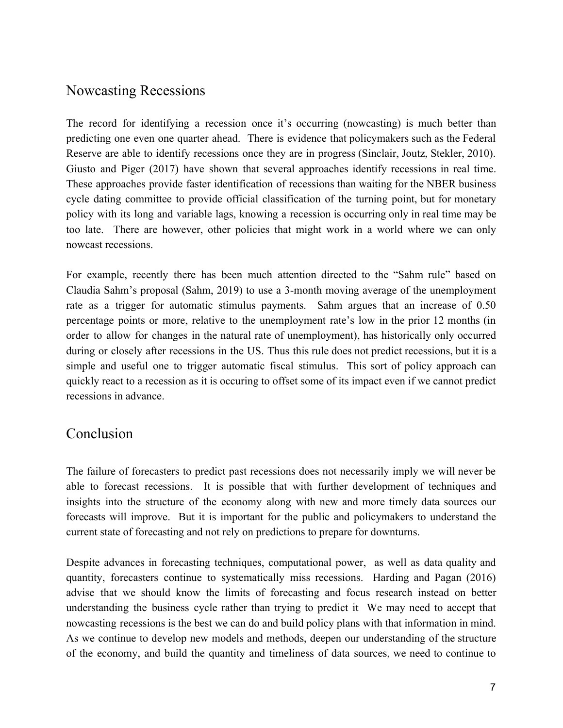## Nowcasting Recessions

The record for identifying a recession once it's occurring (nowcasting) is much better than predicting one even one quarter ahead. There is evidence that policymakers such as the Federal Reserve are able to identify recessions once they are in progress (Sinclair, Joutz, Stekler, 2010). Giusto and Piger (2017) have shown that several approaches identify recessions in real time. These approaches provide faster identification of recessions than waiting for the NBER business cycle dating committee to provide official classification of the turning point, but for monetary policy with its long and variable lags, knowing a recession is occurring only in real time may be too late. There are however, other policies that might work in a world where we can only nowcast recessions.

For example, recently there has been much attention directed to the "Sahm rule" based on Claudia Sahm's proposal (Sahm, 2019) to use a 3-month moving average of the unemployment rate as a trigger for automatic stimulus payments. Sahm argues that an increase of 0.50 percentage points or more, relative to the unemployment rate's low in the prior 12 months (in order to allow for changes in the natural rate of unemployment), has historically only occurred during or closely after recessions in the US. Thus this rule does not predict recessions, but it is a simple and useful one to trigger automatic fiscal stimulus. This sort of policy approach can quickly react to a recession as it is occuring to offset some of its impact even if we cannot predict recessions in advance.

### Conclusion

The failure of forecasters to predict past recessions does not necessarily imply we will never be able to forecast recessions. It is possible that with further development of techniques and insights into the structure of the economy along with new and more timely data sources our forecasts will improve. But it is important for the public and policymakers to understand the current state of forecasting and not rely on predictions to prepare for downturns.

Despite advances in forecasting techniques, computational power, as well as data quality and quantity, forecasters continue to systematically miss recessions. Harding and Pagan (2016) advise that we should know the limits of forecasting and focus research instead on better understanding the business cycle rather than trying to predict it We may need to accept that nowcasting recessions is the best we can do and build policy plans with that information in mind. As we continue to develop new models and methods, deepen our understanding of the structure of the economy, and build the quantity and timeliness of data sources, we need to continue to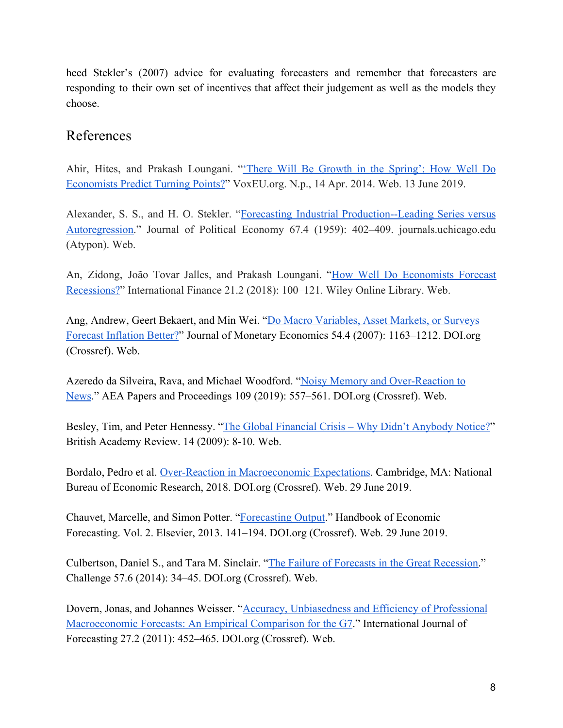heed Stekler's (2007) advice for evaluating forecasters and remember that forecasters are responding to their own set of incentives that affect their judgement as well as the models they choose.

# References

Ahir, Hites, and Prakash Loungani. "There Will Be Growth in the [Spring':](https://voxeu.org/article/predicting-economic-turning-points) How Well Do [Economists Predict Turning Points?"](https://voxeu.org/article/predicting-economic-turning-points) VoxEU.org. N.p., 14 Apr. 2014. Web. 13 June 2019.

Alexander, S. S., and H. O. Stekler. "Forecasting Industrial [Production--Leading](https://www.journals.uchicago.edu/doi/pdfplus/10.1086/258200) Series versus [Autoregression.](https://www.journals.uchicago.edu/doi/pdfplus/10.1086/258200)" Journal of Political Economy 67.4 (1959): 402–409. journals.uchicago.edu (Atypon). Web.

An, Zidong, João Tovar Jalles, and Prakash Loungani. "How Well Do [Economists](https://onlinelibrary.wiley.com/doi/full/10.1111/infi.12130) Forecast [Recessions?](https://onlinelibrary.wiley.com/doi/full/10.1111/infi.12130)" International Finance 21.2 (2018): 100–121. Wiley Online Library. Web.

Ang, Andrew, Geert Bekaert, and Min Wei. "[Do Macro Variables, Asset Markets, or Surveys](https://doi.org/10.1016/j.jmoneco.2006.04.006) [Forecast Inflation Better?](https://doi.org/10.1016/j.jmoneco.2006.04.006)" Journal of Monetary Economics 54.4 (2007): 1163–1212. DOI.org (Crossref). Web.

Azeredo da Silveira, Rava, and Michael Woodford. ["Noisy Memory and Over-Reaction to](https://www.aeaweb.org/articles?id=10.1257/pandp.20191049) [News](https://www.aeaweb.org/articles?id=10.1257/pandp.20191049)." AEA Papers and Proceedings 109 (2019): 557–561. DOI.org (Crossref). Web.

Besley, Tim, and Peter Hennessy. "The Global Financial Crisis - Why Didn't Anybody Notice?" British Academy Review. 14 (2009): 8-10. Web.

Bordalo, Pedro et al. [Over-Reaction in Macroeconomic Expectations.](https://www.nber.org/papers/w24932) Cambridge, MA: National Bureau of Economic Research, 2018. DOI.org (Crossref). Web. 29 June 2019.

Chauvet, Marcelle, and Simon Potter. ["Forecasting Output](https://doi.org/10.1016/B978-0-444-53683-9.00003-7)." Handbook of Economic Forecasting. Vol. 2. Elsevier, 2013. 141–194. DOI.org (Crossref). Web. 29 June 2019.

Culbertson, Daniel S., and Tara M. Sinclair. "[The Failure of Forecasts in the Great Recession](https://doi.org/10.2753/0577-5132570603)." Challenge 57.6 (2014): 34–45. DOI.org (Crossref). Web.

Dovern, Jonas, and Johannes Weisser. "[Accuracy, Unbiasedness and Efficiency of Professional](https://doi.org/10.1016/j.ijforecast.2010.05.016) [Macroeconomic Forecasts: An Empirical Comparison for the G7](https://doi.org/10.1016/j.ijforecast.2010.05.016)." International Journal of Forecasting 27.2 (2011): 452–465. DOI.org (Crossref). Web.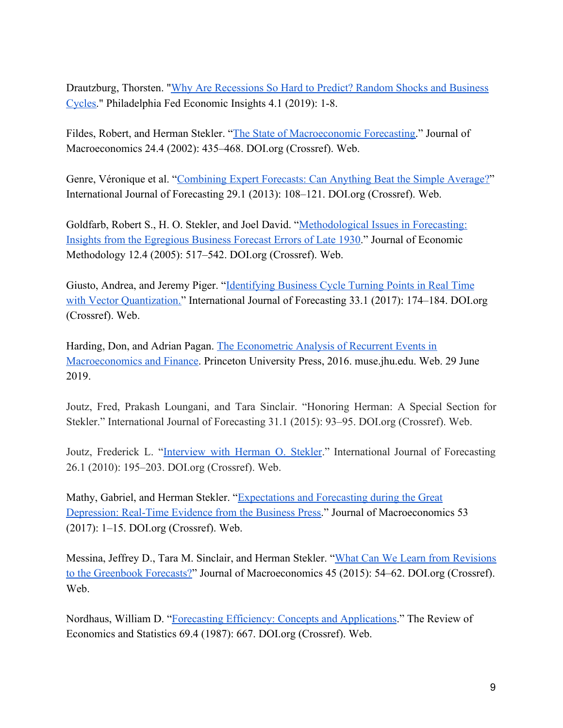Drautzburg, Thorsten. ["Why Are Recessions So Hard to Predict? Random Shocks and Business](https://www.philadelphiafed.org/-/media/research-and-data/publications/economic-insights/2019/q1/eiq119-predicting-recessions.pdf) [Cycles.](https://www.philadelphiafed.org/-/media/research-and-data/publications/economic-insights/2019/q1/eiq119-predicting-recessions.pdf)" Philadelphia Fed Economic Insights 4.1 (2019): 1-8.

Fildes, Robert, and Herman Stekler. "[The State of Macroeconomic Forecasting.](https://doi.org/10.1016/S0164-0704(02)00055-1)" Journal of Macroeconomics 24.4 (2002): 435–468. DOI.org (Crossref). Web.

Genre, Véronique et al. "[Combining Expert Forecasts: Can Anything Beat the Simple Average?](https://doi.org/10.1016/j.ijforecast.2012.06.004)" International Journal of Forecasting 29.1 (2013): 108–121. DOI.org (Crossref). Web.

Goldfarb, Robert S., H. O. Stekler, and Joel David. "[Methodological Issues in Forecasting:](https://doi.org/10.1080/13501780500343524) [Insights from the Egregious Business Forecast Errors of Late 1930](https://doi.org/10.1080/13501780500343524)." Journal of Economic Methodology 12.4 (2005): 517–542. DOI.org (Crossref). Web.

Giusto, Andrea, and Jeremy Piger. "[Identifying Business Cycle Turning Points in Real Time](https://doi.org/10.1016/j.ijforecast.2016.04.006) [with Vector Quantization."](https://doi.org/10.1016/j.ijforecast.2016.04.006) International Journal of Forecasting 33.1 (2017): 174–184. DOI.org (Crossref). Web.

Harding, Don, and Adrian Pagan. [The Econometric Analysis of Recurrent Events in](https://muse.jhu.edu/chapter/1984459) [Macroeconomics and Finance.](https://muse.jhu.edu/chapter/1984459) Princeton University Press, 2016. muse.jhu.edu. Web. 29 June 2019.

Joutz, Fred, Prakash Loungani, and Tara Sinclair. "Honoring Herman: A Special Section for Stekler." International Journal of Forecasting 31.1 (2015): 93–95. DOI.org (Crossref). Web.

Joutz, Frederick L. "[Interview](https://www2.gwu.edu/~forcpgm/HOS_interview.pdf) with Herman O. Stekler." International Journal of Forecasting 26.1 (2010): 195–203. DOI.org (Crossref). Web.

Mathy, Gabriel, and Herman Stekler. "[Expectations and Forecasting during the Great](https://doi.org/10.1016/j.jmacro.2017.05.006) [Depression: Real-Time Evidence from the Business Press.](https://doi.org/10.1016/j.jmacro.2017.05.006)" Journal of Macroeconomics 53 (2017): 1–15. DOI.org (Crossref). Web.

Messina, Jeffrey D., Tara M. Sinclair, and Herman Stekler. "[What Can We Learn from Revisions](https://doi.org/10.1016/j.jmacro.2015.04.002) [to the Greenbook Forecasts?"](https://doi.org/10.1016/j.jmacro.2015.04.002) Journal of Macroeconomics 45 (2015): 54–62. DOI.org (Crossref). Web.

Nordhaus, William D. "[Forecasting Efficiency: Concepts and Applications](https://www.jstor.org/stable/1935962)." The Review of Economics and Statistics 69.4 (1987): 667. DOI.org (Crossref). Web.